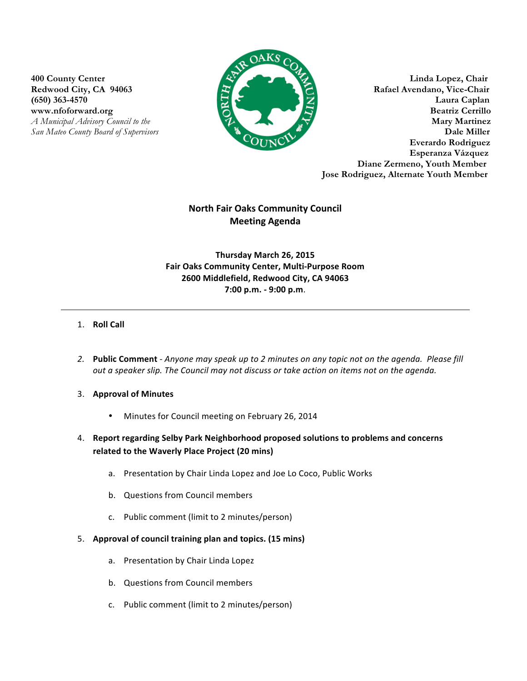

**400 County Center Linda Lopez, Chair** Redwood City, CA 94063 **Rafael Avendano, Vice-Chair (650) 363-4570 Laura Caplan** www.nfoforward.org **Beatriz Cerrillo** *A Municipal Advisory Council to the* **Mary Martinez** *San Mateo County Board of Supervisors* **Dale Miller Everardo Rodriguez Esperanza Vázquez Diane Zermeno, Youth Member Jose Rodriguez, Alternate Youth Member**

# **North Fair Oaks Community Council Meeting Agenda**

**Thursday March 26, 2015 Fair Oaks Community Center, Multi-Purpose Room 2600 Middlefield, Redwood City, CA 94063 7:00 p.m. - 9:00 p.m**.

## 1. **Roll Call**

- 2. Public Comment Anyone may speak up to 2 minutes on any topic not on the agenda. Please fill *out a speaker slip. The Council may not discuss or take action on items not on the agenda.*
- 3. Approval of Minutes
	- Minutes for Council meeting on February 26, 2014
- 4. Report regarding Selby Park Neighborhood proposed solutions to problems and concerns **related to the Waverly Place Project (20 mins)** 
	- a. Presentation by Chair Linda Lopez and Joe Lo Coco, Public Works
	- b. Questions from Council members
	- c. Public comment (limit to 2 minutes/person)
- 5. **Approval of council training plan and topics. (15 mins)** 
	- a. Presentation by Chair Linda Lopez
	- b. Questions from Council members
	- c. Public comment (limit to 2 minutes/person)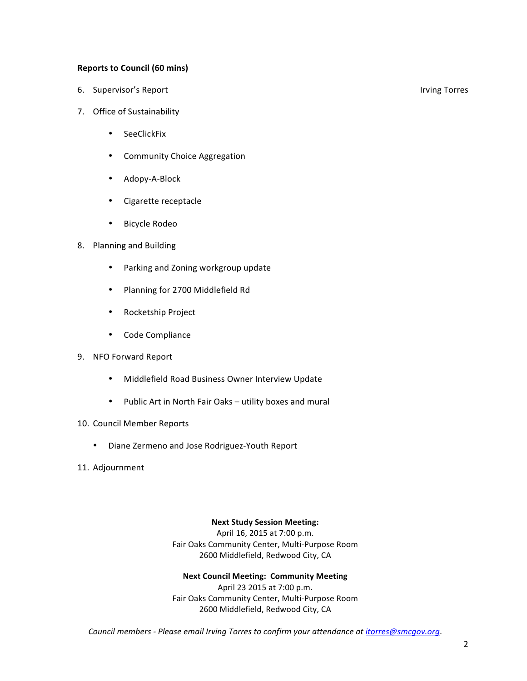## **Reports to Council (60 mins)**

- 6. Supervisor's Report **by any of the COV** COV COV COVER 1 and the COVER 1 and the COVER 1 and the COVER 1 and the COVER 1 and the COVER 1 and the COVER 1 and the COVER 1 and the COVER 1 and the COVER 1 and the COVER 1 and
- 7. Office of Sustainability
	- SeeClickFix
	- Community Choice Aggregation
	- Adopy-A-Block
	- Cigarette receptacle
	- Bicycle Rodeo
- 8. Planning and Building
	- Parking and Zoning workgroup update
	- Planning for 2700 Middlefield Rd
	- Rocketship Project
	- Code Compliance
- 9. NFO Forward Report
	- Middlefield Road Business Owner Interview Update
	- Public Art in North Fair Oaks utility boxes and mural
- 10. Council Member Reports
	- Diane Zermeno and Jose Rodriguez-Youth Report
- 11. Adjournment

### **Next Study Session Meeting:**

April 16, 2015 at 7:00 p.m. Fair Oaks Community Center, Multi-Purpose Room 2600 Middlefield, Redwood City, CA

#### **Next Council Meeting: Community Meeting**

April 23 2015 at 7:00 p.m. Fair Oaks Community Center, Multi-Purpose Room 2600 Middlefield, Redwood City, CA

*Council members - Please email Irving Torres to confirm your attendance at itorres@smcgov.org*.